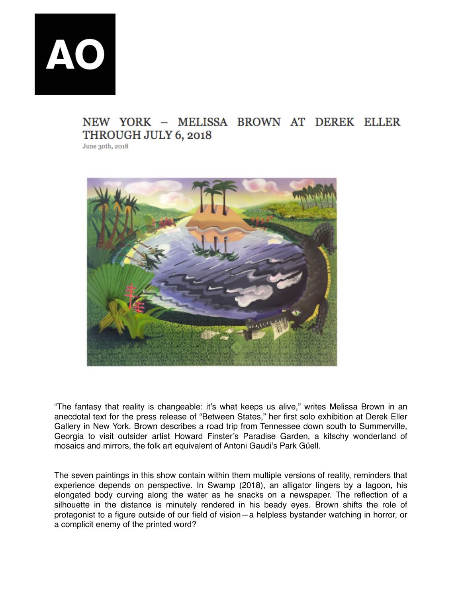**AO** 

## NEW YORK - MELISSA BROWN AT DEREK ELLER THROUGH JULY 6, 2018

June 30th, 2018



"The fantasy that reality is changeable: it's what keeps us alive," writes Melissa Brown in an anecdotal text for the press release of "Between States," her first solo exhibition at Derek Eller Gallery in New York. Brown describes a road trip from Tennessee down south to Summerville, Georgia to visit outsider artist Howard Finster's Paradise Garden, a kitschy wonderland of mosaics and mirrors, the folk art equivalent of Antoni Gaudi's Park Güell.

The seven paintings in this show contain within them multiple versions of reality, reminders that experience depends on perspective. In Swamp (2018), an alligator lingers by a lagoon, his elongated body curving along the water as he snacks on a newspaper. The reflection of a silhouette in the distance is minutely rendered in his beady eyes. Brown shifts the role of protagonist to a figure outside of our field of vision—a helpless bystander watching in horror, or a complicit enemy of the printed word?